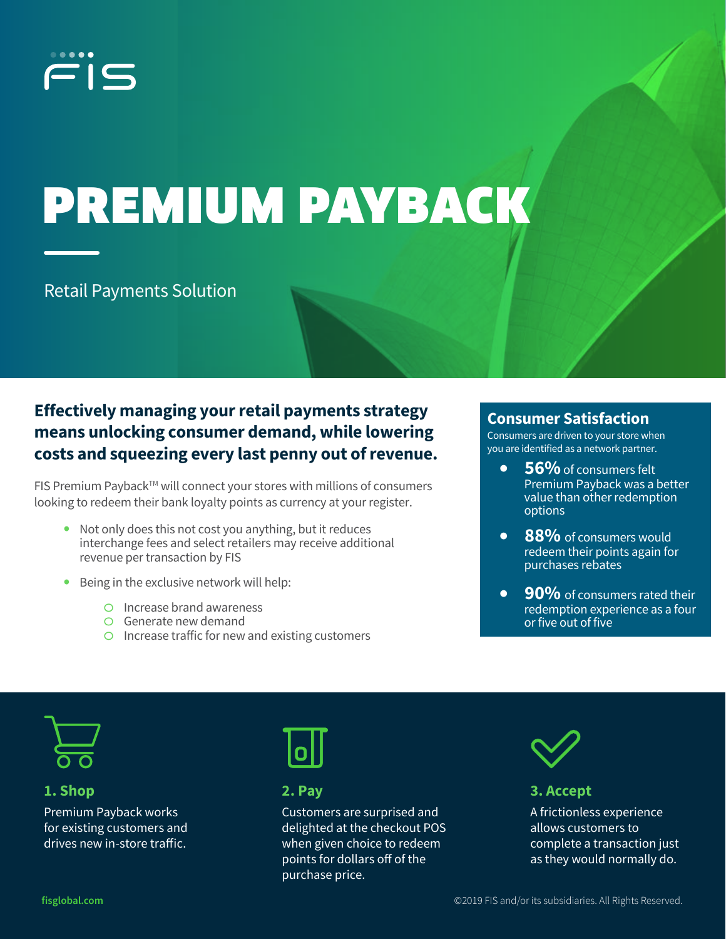

# PREMIUM PAYBACK

Retail Payments Solution

## **Effectively managing your retail payments strategy means unlocking consumer demand, while lowering costs and squeezing every last penny out of revenue.**

FIS Premium Payback<sup>™</sup> will connect your stores with millions of consumers looking to redeem their bank loyalty points as currency at your register.

- **•** Not only does this not cost you anything, but it reduces interchange fees and select retailers may receive additional revenue per transaction by FIS
- **•** Being in the exclusive network will help:
	- o Increase brand awareness
	- o Generate new demand
	- o Increase traffic for new and existing customers

### **Consumer Satisfaction**

Consumers are driven to your store when you are identified as a network partner.

- **56%**of consumers felt Premium Payback was a better value than other redemption options
- **88%** of consumers would redeem their points again for purchases rebates
- **• 90%** of consumers rated their redemption experience as a four or five out of five



#### **1. Shop**

Premium Payback works for existing customers and drives new in-store traffic.



**2. Pay**

Customers are surprised and delighted at the checkout POS when given choice to redeem points for dollars off of the purchase price.



#### **3. Accept**

A frictionless experience allows customers to complete a transaction just as they would normally do.